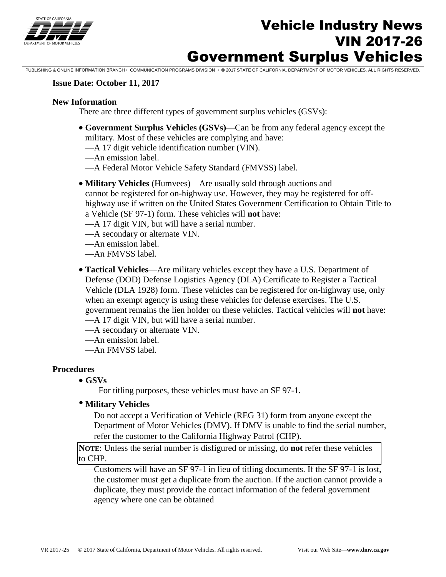

# Vehicle Industry News VIN 2017-26 Government Surplus Vehicles

PUBLISHING & ONLINE INFORMATION BRANCH • COMMUNICATION PROGRAMS DIVISION • © 2017 STATE OF CALIFORNIA, DEPARTMENT OF MOTOR VEHICLES. ALL RIGHTS RESERVED.

#### **Issue Date: October 11, 2017**

#### **New Information**

There are three different types of government surplus vehicles (GSVs):

- **Government Surplus Vehicles (GSVs)**—Can be from any federal agency except the military. Most of these vehicles are complying and have:
	- —A 17 digit vehicle identification number (VIN).
	- —An emission label.
	- —A Federal Motor Vehicle Safety Standard (FMVSS) label.
- **Military Vehicles** (Humvees)—Are usually sold through auctions and cannot be registered for on-highway use. However, they may be registered for offhighway use if written on the United States Government Certification to Obtain Title to a Vehicle (SF 97-1) form. These vehicles will **not** have:
	- —A 17 digit VIN, but will have a serial number.
	- —A secondary or alternate VIN.
	- —An emission label.
	- —An FMVSS label.
- **Tactical Vehicles**—Are military vehicles except they have a U.S. Department of Defense (DOD) Defense Logistics Agency (DLA) Certificate to Register a Tactical Vehicle (DLA 1928) form. These vehicles can be registered for on-highway use, only when an exempt agency is using these vehicles for defense exercises. The U.S. government remains the lien holder on these vehicles. Tactical vehicles will **not** have: —A 17 digit VIN, but will have a serial number.
	- —A secondary or alternate VIN.
	- —An emission label.
	- —An FMVSS label.

#### **Procedures**

- **GSVs** 
	- For titling purposes, these vehicles must have an SF 97-1.
- **Military Vehicles** 
	- —Do not accept a Verification of Vehicle (REG 31) form from anyone except the Department of Motor Vehicles (DMV). If DMV is unable to find the serial number, refer the customer to the California Highway Patrol (CHP).

**NOTE**: Unless the serial number is disfigured or missing, do **not** refer these vehicles to CHP.

 —Customers will have an SF 97-1 in lieu of titling documents. If the SF 97-1 is lost, the customer must get a duplicate from the auction. If the auction cannot provide a duplicate, they must provide the contact information of the federal government agency where one can be obtained